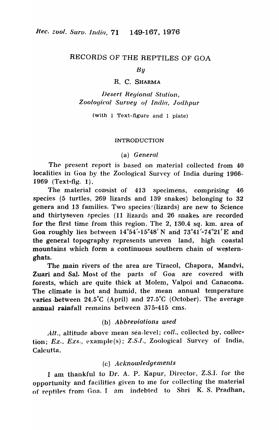### RECORDS OF THE REPTILES OF GOA

*By* 

R. C. SHARMA

*IJesert Regional Station, Zoological Sllrvey 0/ India, Jodhpur* 

(with 1 Text-figure and 1 plate)

#### INTRODUCTION

(a) *General* 

The present report is based on material collected from 40 localities in Goa by the Zoological Survey of India during 1966-1969 (Text-fig. 1).

The material consist of 413 specimens, comprising 46 species (5 turtles,  $269$  lizards and  $139$  snakes) belonging to  $32$ genera and 13 families. Two species! (lizards) are new to Science and thirtyseven species (11 lizards and 26 snakes are recorded for the first time from this region. The 2, 130.4 sq. km. area of Goa roughly lies between  $14^{\circ}54'$ -15<sup>°48'</sup> N and  $73^{\circ}41'$ -74<sup>°21'</sup> E and the general topography represents uneven land, high coastal mountains which form a continuous southern chain of westernghats.

The main rivers of the area are TiracoI, Chapora, Mandvi, Zuari and Sal. Most of the parts of Goa are covered with forests, which are quite thick at Molem, Valpoi and Canacona. The climate is hot and humid, the mean annual temperature varies -between 24.5°C (April) and 27.5°C (October). The average annual rainfall remains between  $375-415$  cms.

### (b) *Abbreviations used*

Alt., altitude above mean sea-level; *coll.*, collected by, collection; *Ex., Exs., example(s); Z.S.I., Zoological Survey of India,* Calcutta.

# (c) *Acknowledgements*

I am thankful to Dr. A. P. Kapur, Director, Z.S.I. for the opportunity and facilities given to me for collecting the material of reptiles from Goa. I am indebted to Shri K. S. Pradhan,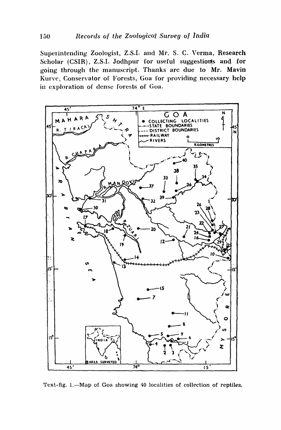Superintending Zoologist, Z.S.I. and Mr. S. C. Verma, Research Scholar (CSIR), Z.S.I. Jodhpur for useful suggestions and for going through the manuscript. Thanks are due to Mr. Mavin Kurve, Conservator of Forests, Goa for providing necessary help in exploration of dense forests of Goa.



Text-fig. 1.-Map of Goa showing 40 localities of collection of reptiles.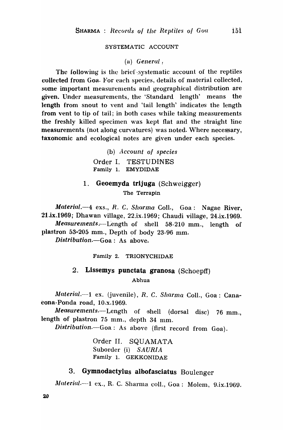#### SYSTEMATIC ACCOUNT

(a) *General,* 

The following is the brief systematic account of the reptiles collected from Goa. For each species, details of material collected, some important measurements and geographical distribution are given. Under measurements, the 'Standard length' means the length from snout to vent and 'tail length' indicates the length from vent to tip of tail; in both cases while taking measurements the freshly killed specimen was kept flat and the straight line measurements (not along curvatures) was noted. Where necessary, taxonomic and ecological notes are given under each species.

> (b) *Account of species* Order I. TESTUDINES Family 1. EMYDIDAE

# 1. Geoemyda trijuga (Schweigger)

The Terrapin

*Material.*-4 exs., *R. C. Sharma Coll.*, Goa: Nagae River, 21.ix.1969; Dhawan village, 22.ix.1969; Chaudi village, 24.ix.1969. *Measurements.-Length* of shell 58-210 mm., length of plastron 53-205 mm., Depth of body 23-96 mm. *Distribution.-Goa:* As above.

Family 2. TRIONYCHIDAE

# 2. Lissemys punctata granosa (Schoepff)

Abhua

*Material.*-1 ex. (juvenile), *R. C. Sharma Coll.*, Goa: Canaeona-Ponda road, 10.x.1969.

*Measurements.*--Length of shell (dorsal disc) 76 mm., length of plastron 75 mm., depth 34 mm.

*Distribution.-Goa:* As above (first record from Goa).

Order II. SQUAMATA Suborder (i) *SAURIA*  Family 1. GEKKONIDAE

# 3. Gymnodactylus albofasciatus Boulenger

*Material.*---1 ex., R. C. Sharma coll., Goa: Molem, 9.ix.1969.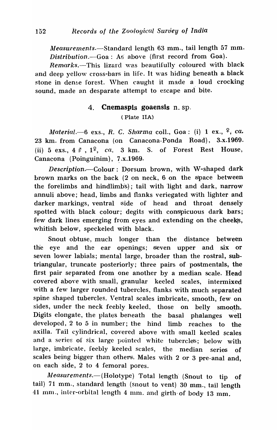Measurements.-Standard length 63 mm., tail length 57 mm. *Distribution.*-Goa: As above (first record from Goa).

*Remarks.*-This lizard was beautifully coloured with black and deep yellow cross-bars in life. It was hiding beneath a black stone in dense forest. When caught it made a loud crocking sound, made an desparate attempt to escape and bite.

# 4. Cnemaspis goaensis n. sp. (Plate IIA)

*Material.*—6 exs., *R. C. Sharma coll.*, Goa: (i) 1 ex., <sup>2</sup>, ca. 23 km. from Canacona (on Canacona-Ponda Road), 3.x.1969. (ii) 5 exs.,  $4 \xi$ ,  $1^2$ ,  $ca$ , 3 km. S. of Forest Rest House, Canacona (Poinguinim), ? .x.1969.

*Description.*--Colour: Dorsum brown, with W-shaped dark brown marks on the back  $(2 \text{ on neck}, 6 \text{ on the space between})$ the forelimbs and hindlimbs); tail with light and dark, narrow annuli above; head, limbs and flanks veriegated with lighter and darker markings, ventral side of head and throat densely spotted with black colour; degits with conspicuous dark bars; few dark lines emerging from eyes and extending on the cheeks, whitish below, speckeled with black.

Snout obtuse, much longer than the distance between the eye and the ear openings; seven upper and six or seven lower labials; mental large, broader than the rostral, subtriangular, truncate posteriorly; three pairs of postmentals, the first pair separated from, one another by a median scale. Head covered above with small, granular keeled scales, intermixed with a few larger rounded tubercles, flanks with much separated spine shaped tubercles. Ventral scales imbricate, smooth, few on sides, under the neck feebly keeled, those on belly smooth. Digits elongate, the plates beneath the basal phalanges well developed, 2 to 5 in number; the hind limb reaches to the axilla. Tail cylindrical, covered above with small keeled scales and a series of six large pointed white tubercles; below with large, imbricate, feebly keeled scales, the median series of scales being bigger than others. Males with 2 or 3 pre-anal and, on each side, 2 to 4 femoral pores.

*Measurements.*-(Holotype) Total length (Snout to tip of tail) 71 mm., standard length (snout to vent) 30 mm., tail length 41 mm., inter-orbital length 4 mm. and girth of body 13 mm.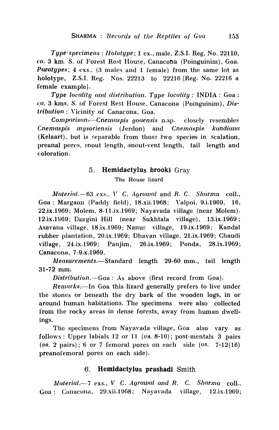*Type-specimens : Holotype; 1 ex., male, Z.S.I. Reg. No. 22110, ca.* 3 km. S. of Forest Rest House, Canacona (Poinguinim), Goa. *Paratypes*; 4 exs., (3 males and 1 female) from the same lot as holotype, Z.S.I. Reg. Nos. 22213 to 22216 (Reg. No. 22216 a female example).

*Type locality and distribution. Type locality:* INDIA: Goa: ca. 3 kms. S. of Forest Rest House, Canacona (Poinguinim), *Distribution* : Y'icinity of Canacona, Goa.

*Comparison*.—*Cnemaspis goaensis* n.sp. closely resembles *Cnemaspis mysoriensis* (Jerdon) and *Cnemaspis kandiana*  $(Kelaart)$ , but is separable from those two species in scalation, preanal pores, snout length, snout-vent length, tail length and ('oloration.

#### 5. Hemidactylus brooki Gray

The House lizard

Material. -63 exs., V C. Agrawal and R. C. *Sharma* coll., Goa: Margaon (Paddy field), 18.xii.1968: Valpoi, 9.i.1969, 16, 22.ix.1969; Molem, 8-11.ix.1969; Nayavada village (near Molem). 12.ix.1969; Durgini Hill (near Sukhtala village), 13.ix.1969; Asavana village, 18.ix.1969; Nanus village, 19.ix.1969; Kandal rubber plantation, 20.jx.1969; Dhavan village, 21.jx.1969; Chaudi village~ 24.ix.1969: Panjim, 26.ix.1969; Ponda, 28.ix.1969; Canacona, 7-9.x.1969.

*1Jleasurements.-Standard* length 29-60 mm., tail length 31-72 mm.

*Distribution.-Goa:* As above (first record from Goa).

*Remarks.*—In Goa this lizard generally prefers to live under the stones or beneath the dry bark of the wooden logs, in or around human habitations. The specimens were also collected from the rocky areas in dense forests, away from human dwellings.

The specimens from Nayavada village, Goa also vary as follows: Upper labials 12 or 11  $(v_8, 8\n-10)$ ; post-mentals 3 pairs.  $(vs. 2 pairs); 6 or 7 femoral pores on each side  $(vs. 7-12(16))$$ preanofemoral pores on each side).

### 6. Hemldactylus prashadi Smith

*Material.*-7 exs., *V C. Agrawal and R. C. Sharma coll.*, Goa: Canacona, 29.xii.1968; Nayavada village, 12.ix.1969;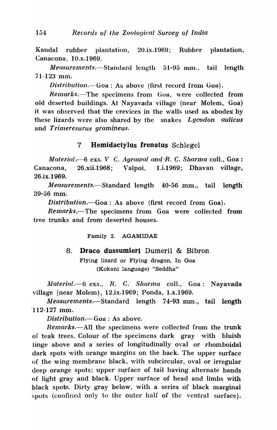Kandal rubber plantation, 20.ix.1969; Rubber plantation, Canacona, 10.x.1969.

*Measurements.*—Standard length 51-95 mm., tail length 71-123 mm.

*Distribution.*-Goa: As above (first record from Goa).

*Remarks.*-The specimens from Goa, were collected from old deserted buildings. At Nayavada village (near Molem, Goa) it was observed that the crevices in the walls used as abodes by these lizards ,vere also shared by the snakes *Lycodon aulicus*  and *Trimeresurus gramineus.* 

### 7 Hemidactylus frenatus Schlegel

*Material*  $-6$  exs. *V C. Agrawal and R. C. Sharma coll.*, Goa: Canacona, 26.xii.1968; Valpoi, 1.i.1969; Dhavan village, 26.ix.1969.

*Arleasurements.-Standard* length 40-56 mm., tail length 39-56 mm.

*Distribution.-Goa:* As above (first record from Goa).

*Remarks.-The* specimens from ·Goa were collected from tree trunks and from deserted houses.

Family 2. AGAMIDAE

#### 8. Draco dussumieri Dumeril & Bibron

Flying lizard or Flying dragon, In Goa (Kokani language) "Seddha"

*illaterial.-o* exs., *R.* C. *Sharma* colI., Goa: Nayavada village (near Molem), 12.ix.1969; Ponda, 1.x.1969.

*jJ;leasurements., -Standard* length 74-93 mm., tail length -112-127 mm.

*Distribution.-Goa* : As above.

*Remarks.*--All the specimens were collected from the trunk of teak trees. Colour of the specimens dark gray with bluish tinge above and a series of longitudinally oval or rhomboidal dark spots with orange margins on the back. The upper surface of the wing membrane black, with subcircular, oval or irregular deep orange spots; upper surface of tail having alternate bands of light gray and black. Upper surface of head and limbs with black spots:. Dirty gray below, with a series of black marginal spots (confined only to the outer half of the ventral surface).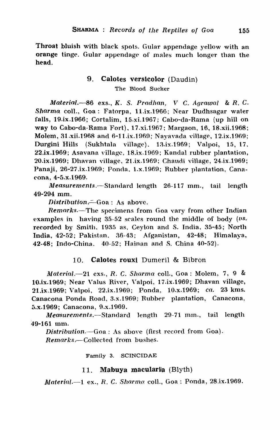Throat bluish with black spots. Gular appendage yellow with an orange tinge. Gular appendage of males much longer than the head.

# 9. Calotes versicolor (Daudin) The Blood Sucker

Material.—86 exs., K. S. Pradhan, V C. Agrawal & R. C. Sharma colI., Goa: Fatorpa, 11.ix.1968; Near Dudhsagar water falls, 19.ix.1966; Cortalim, i5.xi.1967; Cabo-da-Rama (up hill on way to Cabo-da-Rama Fort), 17.xi.1967; Margaon, 16, 18.xii.1968; Molem, 31.xii.1968 and 6-11.ix.1969; Nayavada village, 12.ix.1969; Durgini Hills (Sukhtala village), 13.ix.1969; Valpoi, 15, 17, 22.ix.1969; Asavana village, 18.ix.1969; Kandal rubber plantation, 20.ix.1969; Dhavan village, 21.ix.1969; Chaudi village, 24.ix.1969; Panaji, 26-27.ix.1969; Ponda, 1.x.1969; Rubber plantation, Canacona, 4-5.x.1969.

 $Measurements. -Standard length 26-117 mm$ , tail length 49-294 mm.

*Distribution.* $-Goa: As above.$ 

Remarks.—The specimens from Goa vary from other Indian examples in having  $35-52$  scales round the middle of body  $(\nu s)$ . recorded by Smith, 1935 as, Ceylon and S. India, 35-45; North India, 42-52; Pakistan" 36-43; Afganistan, 42-48; Himalaya, 42-48; Indo-China. 40-52; Hainan and S. China 40-52).

# 10. **Calotes rouxi** Dumeril & Bibron

*Material.*-21 exs., R. C. Sharma coll., Goa: Molem, 7, 9 & 10.ix.1969; Near Valus River, Valpoi, 17.ix.1969; Dhavan village, 21.ix.1969; \7alpoi, 22.ix.1969; Ponda, 10.x.1969; *ca.* 23 kms. Canacona Ponda Road, 3.x.1969; Rubber plantation, Canacona, 5.x.1969; Canacona, 9.x.1969.

*Measurements.-Standard* length 29-71 mm., tail length 49-161 mm.

*Distribution.-Goa* : As aboye (first record from Goa). *Remarks.,-Collected* from bushes.

Family 3. SCINCIDAE

# 11. Mabuya macularia (Blyth)

*lJlateria[.-l* ex., *R.* C. *Sharmo* colI., Goa: Ponda, 28.ix.1969.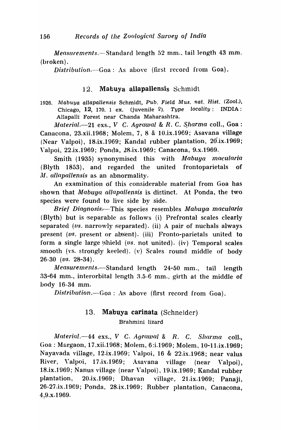*Measurements.*—Standard length 52 mm., tail length 43 mm. (broken) .

*Distribution.*-Goa: As above (first record from Goa).

### 12. Mabuya allapallensis Schmidt

1926. Mabuya allapallensis Schmidt, Pub. Field Mus. nat. Hist. (Zool.), Chicago, 12, 170. 1 ex. (juvenile  $9$ ). Type locality: INDIA: Allapalli Forest near Chanda Maharashtra.

*Material.*-21 exs., *V C. Agrawal & R. C. Sharma* coll., Goa: Canacona, 23.xii.1968; Molem, 7, 8 & 10.ix.1969; Asavana village (Near Valpoi),  $18.1x.1969$ ; Kandal rubber plantation,  $20.1x.1969$ ; Valpoi, 22.ix.1969; Ponda, 28.ix.1969; Canacona, 9.x.1969.

Smith (1935) synonymised this with *Mabuya macularia* (Blyth 1853), and regarded the united frontoparietals of *111. allapallensis* as an abnormality.

An examination of this considerable material from Goa has shown that *Mabuya allapallensis* is distinct. At Ponda, the two. species were found to live side by side.

*Brief Diagnosis*—This species resembles *Mabuya macularia* (Blyth) but is separable as follows (i) Prefrontal scales clearly separated *(vs. narrowly separated). (ii)* A pair of nuchals always present (vs. present or absent). (iii) Fronto-parietals united to form a single large shield (vs. not united). (iv) Temporal scales smooth (vs. strongly keeled). (v) Scales round middle of body 26-30 *(vs.* 28-34).

*lUeasurements.-Standard* length 24-50 mm., tail length 33-64 mm., interorbital length 3.5-6 mm., girth at the middle of body 16-34 mm.

*Distribution.*-Goa: As above (first record from Goa).

# 13. Mabuya carinata (Schneider) Brahmini lizard

*Material.*-44 exs., *V C. Agrawal & R. C. Sharma coll.*, Goa: Margaon, 17.xii.1968; Molem, 6:i.1969; Molem, lO-11.ix.1969; Nayavada village, 12.ix.1969; Valpoi, 16 & 22.ix.1968; near valus River, Valpoi, 17.ix.1969; Asavana village (near Valpoi), 18.ix.1969; Nanus village (near Valpoi), 19.ix.1969; Kandal rubber plantation, 20.ix.1969; Dhavan village, 21.ix.1969; Panaji, 26-27 .ix.1969; Ponda, 28.ix.1969; Rubber plantation, Canacona,  $4,9.x.1969.$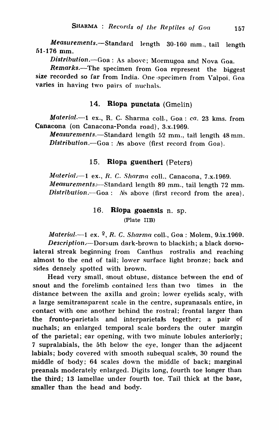*Measurements.-Standard* length 30-160 mm., tail length 01-176 mm.

*Distribution.-Goa:* As above; Mormugoa and Nova Goa.

*Remarks.-The* specimen from Goa represent the biggest size recorded so far from India. One specimen from Valpoi, Goa varies in having two pairs of nuchals.

# 14. Rlopa punctata (Gmelin)

Material.-1 ex., R. C. Sharma coll., Goa: *ca.* 23 kms. from Canacona (on Canacona-Ponda road), 3.x.1969.

*Measurements.-Standard* length 52 mm., tail length 48 mm. *Distribution.-Goa:* Ns above (first record from Goa).

# 15. Riopa guentheri (Peters)

*Material.*-1 ex., R. C. Sharma coll., Canacona, 7.x.1969. *Measurements.*—Standard length 89 mm., tail length 72 mm. *Distribution*. - Goa: As above (first record from the area).

# 16. Rilopa goaensis n. sp. (Plate IIB)

*Material.*-1 ex. <sup>2</sup>, *R. C. Sharma* coll., Goa: Molem, 9.ix.1969. *Description.* - Dorsum dark-brown to blackish; a black dorsolateral streak beginning from Canthus rostralis and reaching almost to the end of tail; lower surface light bronze; back and sides densely spotted with brown.

Head very small, snout obtuse, distance between the end of snout and the forelimb contained less than two times in the distance between the axilla and groin; lower eyelids scaly, with a large semitransparent scale in the centre, supranasals entire, in contact with one another behind the rostral; frontal larger than the fronto-parietals and interparietals together; a pair of nuchals; an enlarged temporal scale borders the outer margin of the parietal; ear opening, with two minute lobules anteriorly; 7 supralabials, the 5th below the eye, longer than the adjacent labials; body covered with smooth subequal scales, 30 round the middle of body; 64 scales down the middle of back; marginal preanals moderately enlarged. Digits long, fourth toe longer than the third; 13 lamellae under fourth toe. Tail thick at the base, smaller than the head and body.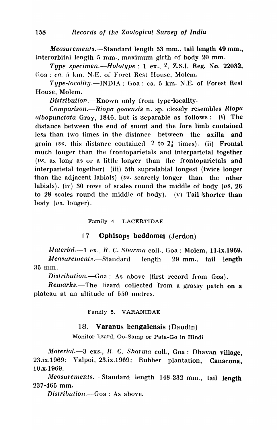*Measurements.*—Standard length 53 mm., tail length 49 mm., interorbital length  $5$  mm., maximum girth of body  $20$  mm.

*Type specimen.—Holotype:* 1 ex.,  $\frac{9}{7}$ , Z.S.I. Reg. No. 22032, Goa: *ca.* 5 km. N.E. of Foret Rest House, Molem.

Type-locality.—INDIA: Goa: ca. 5 km. N.E. of Forest Rest House, Molem.

*Distribution.*-Known only from type-locality.

*Comparison.*-Riopa goaensis n. sp. closely resembles Riopa *ulbopunctata* Gray, 1846, but is separable as follows: (i) The distance between the end of snout and the fore limb contained less than two times in the distance between the axilla and groin (*vs.* this distance contained 2 to  $2<sub>s</sub>$  times). (ii) Frontal much longer than the frontoparietals and interparietal together (vs. as long as or a little longer than the frontoparietals and interparietal together) (iii) 5th supralabial longest (twice longer than the adjacent labials) (*us.* scarcely longer than the other labials). (iv) 30 rows of scales round the middle of body (vs. 26 to 28 scales round the middle of body). (v) Tail  $\phi$  shorter than body *(vs.* longer).

### Family 4. LACERTIDAE

# 17 Ophisops beddomei (Jerdon)

*Material.*-1 ex., *R. C. Sharma coll.*, Goa: Molem, 11.ix.1969.

Measurements.—Standard length 29 mm., tail length 35 mm.

*Distribution.-Goa:* As above (first record from Goa).

*Remarks.*-The lizard collected from a grassy patch on a plateau at an altitude of 550 metres.

Family 5. VARANIDAE

### 18. Varanus bengalensis (Daudin)

Monitor lizard, Go-Samp or Pata-Go in Hindi

*Material.*-3 exs., R. C. *Sharma* coll., Goa: Dhavan village, 23.ix.1969; Valpoi, 23.ix.1969; Rubber plantation, Canacona, lO.x.1969.

*Measurements.*-Standard length 148-232 mm., tail length 237-465 mm.

*Distribution.-Goa:* As aboye.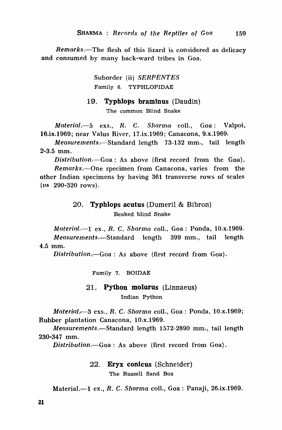*Remarks.-The* flesh of this lizard is considered as delicacy and consumed by many back-ward tribes in Goa.

> Suborder (ii) *SERPENTES*  Family 6. TYPHLOPIDAE

#### 19. Typhlops braminus (Daudin)

The common Blind Snake

*Material.*-5 exs., R. C. Sharma coll., Goa: Valpoi, 16.ix.1969; near Valus River, 17.ix.1969; Canacona, 9.x.1969.

*Measurements.,-Standard* length 73-132 mm., tail length 2-3.5 mm.

*Distribution.-Goa:* As above (first record from the Goa). *Remarks.-One* specimen from Canacona, varies from the other Indian specimens by having 361 transverse rows of scales  $(vs$  290-320 rows).

# 20. Typhlops acutus (Dumeril & Bibron) Beaked blind Snake

*Materia*<sup>l</sup> *l.-l* ex., *R.* C. *Sharma* colI., Goa: Ponda, 10.x.1969~ *Measurements.-Standard* length 399 mm., tail length 4.5 mm.

*Distribution .. -Goa:* As above (first record from Goa).

Family 7. BOIDAE

#### 21. Python molurus (Linnaeus)

Indian Python

*Material.* -3 exs., *R. C. Sharma coll.*, Goa: Ponda, 10.x.1969; Rubber plantation Canacona, lO.x.1969.

Measurements.-Standard length 1572-2890 mm., tail length 230-347 mm.

*Distribution.-Goa:* As above (first record from Goa).

22. Eryx conicus (Schneider) The Russell Sand Boa

Material. $-1$  ex., R. C. Sharma coll., Goa: Panaji, 26.ix.1969.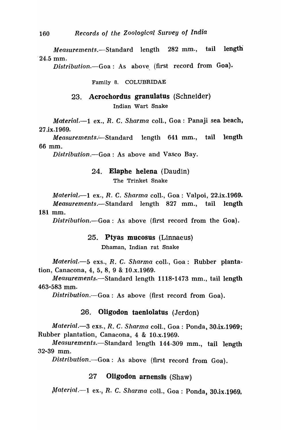*Measurements.-Standard* length 282 mm., tail length "24.5 mm.

*Distribution.-Goa:* As above, (first record from Goa).

#### Family 8. COLUBRIDAE

23. Acrochordus granulatus (Schneider)

Indian Wart Snake

*Material.-l* ex., *R.* C. *Sharma* colI., Goa: Panaji sea beach, 27.ix.1969.

*Measurements.*—Standard length 641 mm., tail length 66 mm.

*Distribution.-Goa:* As above and Vasco Bay.

#### 24. Elapbe helena (Daudin)

The Trinket Snake

*Material.*--1 ex., *R. C. Sharma coll.*, Goa: Valpoi, 22.ix.1969. *Measurements.-Standard* length 827 mm., tail length 181 mm.

*Distribution.*—Goa: As above (first record from the Goa).

#### 25. Ptyas mucosus (Linnaeus)

Dhaman, Indian rat Snake

*Material.-5* exs., *R.* C. *Sharma* coIl., Goa: Rubber plantation, Canacona, 4, 5, 8, 9 & 10.x.1969.

*Measurement:s.-Standard* length 1118-1473 mm., tail length 463-583 mm.

*Distribution.-Goa:* As above (first record from Goa).

#### 26. Oligodon taenlolatus (Jerdon)

*Material.-3* exs., *R.* C. *Sharma* coIl., Goa: Ponda, 30.ix.1969; Rubber plantation, Canacona, 4 & 10.x.1969.

Measurements.-Standard length 144-309 mm., tail length 32-39 mm.

*Distribution.-Goa:* As above (first record from Goa).

# 27 Oligodon arnensis (Shaw)

Material.--1 ex., R. C. *Sharma* coll., Goa : Ponda, 30.ix.1969.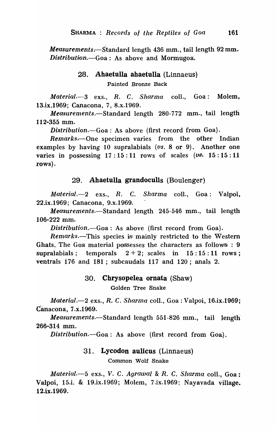*Measurements.* Standard length 436 mm., tail length 92 mm. *Distribution.*-Goa: As above and Mormugoa.

# 28. Ahaetulla ahaetulla (Linnaeus)

Painted Bronze Back

*Material.-3* exs., *R.* C. *Sharma* colI., Goa: Molem, 13.ix.1969; Canacona, 7, 8.x.1969.

*Measurements.-Standard* length 280-772 mm., tail length 112-355 mm.

*Distribution.-Goa:* As above (first record from Goa).

*Remarks.*—One specimen varies from the other Indian examples by having 10 supralabials (vs. 8 or 9). Another one varies in possessing  $17:15:11$  rows of scales ( $vs. 15:15:11$ rows).

# 29. Abaetulla grandoculis (Boulenger)

*Material.-2* exs., *R.* C. *Sharma* colI., Goa: Valpoi, 22.ix.1969; Canacona, 9.x.1969.

*Measurements.-Standard* length 245-546 mm., tail length 106-222 mm.

*Distribution.-Goa:* As above (first record from Goa).

*Remarks.*-This species is mainly restricted to the Western Ghats. The Goa material possesses the characters as follows : 9 supralabials; temporals  $2 + 2$ ; scales in  $15: 15: 11$  rows; ventrals 176 and 181 ; subcaudals 117 and 120; anals 2.

# 30. Cbrysopelea ornata (Shaw)

Golden Tree Snake

*Material.-2* exs., *R.* C. *Sharma* colI., Goa, : Valpoi, 16.ix.1969; Canacona, 7.x.1969.

*Measurements.-Standard* length 551-826 mm., tail length 266-314 mm.

*Distribution.-Goa:* As above (first record from Goa).

# 31. Lycodon auticus (Linnaeus)

Common Wolf Snake

*J/aterial.-5* exs., *V.* C. *Agrawal* & *R.* C. *Sharma* colI., Goa: Valpoi, 15.i. & 19.ix.1969; Molern, 7.ix.1969; Nayavada village. 12.ix.1969.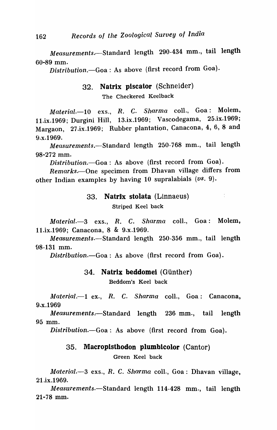Measurements.-Standard length 290-434 mm., tail length 60-89 mm.

*Distribution.-Goa:* As above (first record from Goa).

# 32. Natrix plscator (Schneider)

The Checkered Keelback

*Material.-10* exs., *R.* C. *Sharma* colI., Goa: Molem, 11.ix.1969; Durgini Hill, 13.ix.1969; Vascodegama, 25.ix.1969; Margaon, 27.ix.1969; Rubber plantation, Canacona, 4, 6, 8 and 9.x.1969.

*lUeasurements.-Standard* length 250-768 mm., tail length 98-272 mm.

*Distribution.-Goa:* As above (first record from Goa).

Remarks.--One specimen from Dhavan village differs from other Indian examples by having 10 supralabials *(vs. 9).* 

#### 33. Natrix stolata (Linnaeus)

 $\sim 10^6$ 

Striped Keel back

*Material.-3* exs., *R.* C. *Sharma* colI., Goa: Molem, 11.ix.1969'; Canacona, 8 & 9.x.1969.

*Measurements.-Standard* length 250-356 mm., tail length 98-131 mm.

*Distribution.-Goa:* As above (first record from Goa).

#### 34. Natrix beddomei (Günther)

Beddom's Keel back

*Material.*-1 ex., *R. C. Sharma* coll., Goa: Canacona, 9.x.1969

*Measurements.*—Standard length 236 mm., tail length 95 mm.

*Distribution.-Goa:* As above (first record from Goa).

### 35. Macroplsthodon plumblcolor (Cantor)

Green Keel back

*Material.-3* exs., *R.* C. *Sharma* colI., Goa: Dhavan village, 21.ix.1969.

*Measurements.-Standard* length 114-428 mm., tail length 21-78 mm.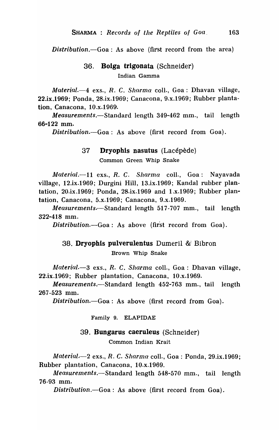*Distribution.-Goa:* As above (first record from the area)

# 36. Bolga trigonata (Schneider) Indian Gamma

*Material.*-4 exs., R. C. *Sharma* coll., Goa: Dhavan village, 22.ix.1969; Ponda, 28.ix.1969; Canacona, 9.x.1969; Rubber plantation, Canacona, 10 .x.1969.

*Measurements.-Standard* length 349-462 mm., tail length 66-122 mm.

*Distribution.-Goa:* As above (first record from Goa).

# 37 Dryophis nasutus (Lacepede) Common Green Whip Snake

*Material.*-11 exs., *R. C. Sharma* coll., Goa: Nayavada village, 12.ix.1969; Durgini Hill, 13.ix.1969; Kandal rubber plantation, 20.ix.1969; Ponda, 28.ix.1969 and 1.x.1969; Rubber plantation, Canacona, 5.x.1969; Canacona, 9.x.1969.

*Measurements.*—Standard length 517-707 mm., tail length 322-418 mm.

*Distribution.*-Goa: As above (first record from Goa).

# 38. Dryophis pulverulentus Dumeril &! Bibron

Brown Whip Snake

~Jaterial.-3 exs., *R.* C. *Sharma* colI., Goa: Dhavan village, 22.ix.1969; Rubber plantation, Canacona, 10.x.1969.

*Measurements.-Standard* length 452-763 mm., tail length 267-523 mm.

*Distribution.-Goa:* As above (first record from Goa).

Family 9. ELAPIDAE

#### 39. Bungarus caeruleus (Schneider)

Common Indian Krait

*lJtJaterial.t -2* exs., *R.* C. *Sharma* colI., Goa: Ponda, 29.ix.1969; Rubber plantation, Canacona, 10.x.1969.

*Measurements.*—Standard length 548-570 mm., tail length 76-93 mm.

*Distribution.-Goa:* As above (first record from Goa).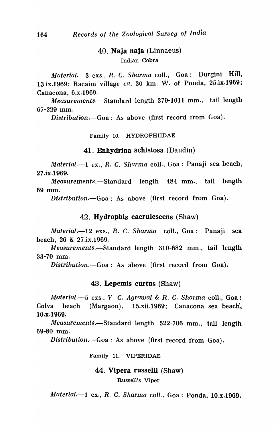# 40. Naja naJa (Linnaeus)

Indian Cobra

*Alaterial.-3* exs., *R.* C. *Sharma* coll., Goa: Durgini Hill, 13.ix.1969; Racaim village *ca.* 30 km. W. of Ponda, 25.ix.1969; Canacona, 6.x.1969.

Measurements.-Standard length 379-1011 mm., tail length 67-229 mm.

*Distribution*<sub> $1 - Goa$ </sub>: As above (first record from Goa).

Family 10. HYDROPHIIDAE

#### 41. Enhydrina schistosa (Daudin)

*Material.*-1 ex., *R. C. Sharma coll.*, Goa: Panaji sea beach, 27.ix.1969.

*Measurements.-Standard* length 484 mm., tail length 69 mm.

*Distribution.-Goa:* As above (first record from Goa).

#### 42. Hydrophls caerulescens (Shaw)

*Material .. -12* exs., *R.* C. *Sharma* colI., Goa: Panaji sea beach, 26 & 27.ix.1969.

*Measurements.*-Standard length 310-682 mm., tail length 33-70 mm.

*Distribution.-Goa:* As above (first record from Goa).

#### 43. Lepemls curtus (Shaw)

*Material.-5* exs., *V* C. *Agrawal* & *R.* C. *Sharma* colI., Goa: Colva beach (Margaon), 15.xii.1969; Canacona sea beach, lO.x.1969.

*Measurements.-Standard* length 522-706 mm., tail length 69-80 mm.

Distribution.—Goa: As above (first record from Goa).

Family 11. VIPERIDAE

44. Vipera russelll (Shaw)

Russell's Viper

*Material.-l* ex., *R.* C. *Sharma* colI., Goa: Ponda, lO.x.1969.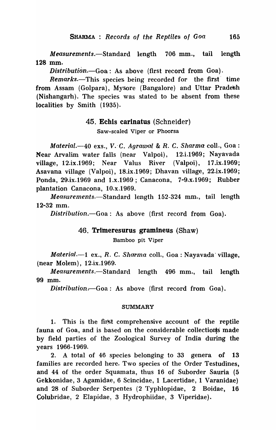*Measurements.-Standard* length 706 mm., tail length 128 mm.

*Distribution.*-Goa: As above (first record from Goa).

*Remarks.*-This species being recorded for the first time from Assam (Golpara), Mysore (Bangalore) and Uttar Pradesh (Nishangarh). The species was stated to be absent from these localities by Smith (1935).

#### 45. Echis carinatus (Schneider)

Saw-scaled Viper or Phoorsa

*Material.-40* exs., V.·C. *Agrawal* & R. C. *Sharma* colI., Goa: Near Arvalim water falls (near Valpoi), 12.i.1969; Nayavada village, 12.ix.1969; Near Valus River (Valpoi), 17.ix.1969; Asavana village (Valpoi), 18.ix.1969; Dhavan village, 22.ix.1969; Ponda., 29.ix.1969 and 1.x.1969; Canacona, 7-9.x.1969; Rubber plantation Canacona, 10.x.1969.

*Measurements.-Standard* length 152-324 mm., tail length 12-32 mm.

*Distribution.*-Goa: A<sub>s</sub> above (first record from Goa).

### 46. Trimeresurus gramineus (Shaw)

Bamboo pit Viper

*Material.-1* ex., *R.* C. *Sharma* colI., Goa: Nayavada' village, (near Molem), 12.ix.1969.

*Measurements.-Standard* length 496 mm., tail length 99 mm.

*Distribution*—Goa: As above (first record from Goa).

#### SUMMARY

1. This is the first comprehensive account of the reptile fauna of Goa, and is based on the considerable collectioqs made by field parties of the Zoological Survey of India during the years 1966-1969.

2. A total of 46 species belonging to 33 genera of 13 families are recorded here. Two species of the Order Testudines, and 44 of the order Squamata, thus 16 of Suborder Sauria (5 Gekkonidae, 3 Agamidae, 6 Scincidae, 1 Lacertidae, 1 Varanidae) and 28 of Suborder Serpentes (2 Typhlopidae, 2 Boidae, 16 Colubridae, 2 Elapidae~ 3 Hydrophiidae, 3 Viperidae).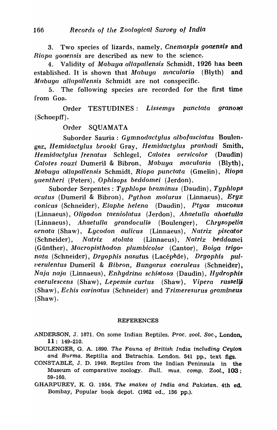3. Two species of lizards, namely, *Cnemaspis goaensis* and *Riopa gogensis* are described as new to the science.

4. 'Validity of *Mabuya allapallensis* Schmidt, 1926 has been established. It is shown that *Mabuya macularia* (Blyth) and *Mabuya allapallensis* Schmidt are not conspecific.

5. The following species are recorded for the first time from Goa.

Order TESTUDINES: *Lissemys punctata granosp.*  (Schoepff) .

Order SQUAMATA

Suborder Sauria : *Gymnodactylus albofasciatus* BouIeng~ *Hemidactylus broo'ki* Gray, *Hemidactylus prashadi* Smith, *HemidactyLus frenatus* Schlegel, *Calotes versicolor* (Daudin) *Calotes rouxi* Dumeril & Bibron, *Mabuya macularia* (Blyth), *Mabuya allapallensis* Schmidt, *Riopa punctata* (Gmelin), *Riopa guentheri* (Peters), *Ophisops beddomei* (Jerdon).

Suborder Serpentes : Typhlops braminus *(Daudin)*, Typhlops *ocutus* (Dumeril & Bibron), *Python moLurus* (Linnaeus), *Eryx conicus* (Schneider), *Elaphe helena* (Daudin), *Ptyas mucosus* (Linnaeus), *Oligodon taeniolatus* (Jerdon), *Ahaetulla ahaetulla*  (Linnaeus), *Ahaetulla grandoculis* (Boulenger), *Chrysopelia orna1ta* (Shaw), *Lycodon aulicus* (Linnaeus), *Natrix piscator*  (Schneider), *Natrix stolata* (Linnaeus), *Natrix beddomei*  (Giinther), *klacropisthodon pLumbicolor* (Cantor), *Boiga trigonata* (Schneider), *Dryophis nasutus.* (Lacepede), *Dryophis pull,erulentus* Dumeril & *Bibron, Bungarus caeruleus* (Schneider), *Naja naJa* (Linnaeus), *Enhydrina schtS1tosa* (Daudin), *Hydrophis caerulescens* (Shaw), *Lepemis curtus* (Shaw), *Vipera russelli* (Shaw), *Echis Qarinatus* (Schneider) and *Trimeresurus gramineus*  (Shaw).

#### REFERENCES

.ANDERSON, J. 1871. On some Indian Reptiles. Proc. zool. Soc.*1* London, 11: 149-210.

- BOULENGER, G. A. 1890. The Fauna oj British India including Ceylon and Burma. Reptilia and Batrachia. London. 541 pp., text figs.
- CONSTABLE, J. D. 1949. Reptiles from the Indian Peninsula in the Museum of comparative zoology. Bull. mus. comp. Zool.,  $103$ : 59-160.

GHARPUREY, K. G. 1954. The snakes oj India and Pakistan. 4th ed. Bombay, Popular book depot. (1962 ed., 156 pp.).